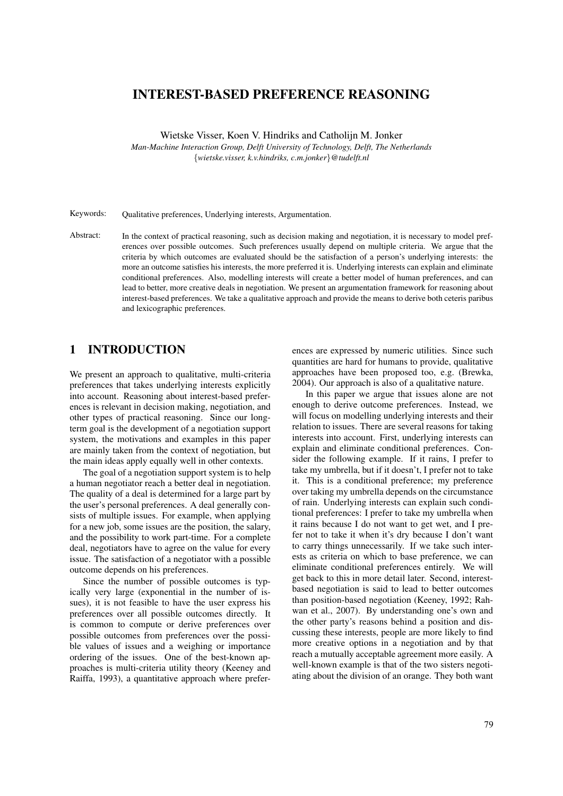## INTEREST-BASED PREFERENCE REASONING

Wietske Visser, Koen V. Hindriks and Catholijn M. Jonker

*Man-Machine Interaction Group, Delft University of Technology, Delft, The Netherlands* {*wietske.visser, k.v.hindriks, c.m.jonker*}*@tudelft.nl*

Keywords: Qualitative preferences, Underlying interests, Argumentation.

Abstract: In the context of practical reasoning, such as decision making and negotiation, it is necessary to model preferences over possible outcomes. Such preferences usually depend on multiple criteria. We argue that the criteria by which outcomes are evaluated should be the satisfaction of a person's underlying interests: the more an outcome satisfies his interests, the more preferred it is. Underlying interests can explain and eliminate conditional preferences. Also, modelling interests will create a better model of human preferences, and can lead to better, more creative deals in negotiation. We present an argumentation framework for reasoning about interest-based preferences. We take a qualitative approach and provide the means to derive both ceteris paribus and lexicographic preferences.

## 1 INTRODUCTION

We present an approach to qualitative, multi-criteria preferences that takes underlying interests explicitly into account. Reasoning about interest-based preferences is relevant in decision making, negotiation, and other types of practical reasoning. Since our longterm goal is the development of a negotiation support system, the motivations and examples in this paper are mainly taken from the context of negotiation, but the main ideas apply equally well in other contexts.

The goal of a negotiation support system is to help a human negotiator reach a better deal in negotiation. The quality of a deal is determined for a large part by the user's personal preferences. A deal generally consists of multiple issues. For example, when applying for a new job, some issues are the position, the salary, and the possibility to work part-time. For a complete deal, negotiators have to agree on the value for every issue. The satisfaction of a negotiator with a possible outcome depends on his preferences.

Since the number of possible outcomes is typically very large (exponential in the number of issues), it is not feasible to have the user express his preferences over all possible outcomes directly. It is common to compute or derive preferences over possible outcomes from preferences over the possible values of issues and a weighing or importance ordering of the issues. One of the best-known approaches is multi-criteria utility theory (Keeney and Raiffa, 1993), a quantitative approach where preferences are expressed by numeric utilities. Since such quantities are hard for humans to provide, qualitative approaches have been proposed too, e.g. (Brewka, 2004). Our approach is also of a qualitative nature.

In this paper we argue that issues alone are not enough to derive outcome preferences. Instead, we will focus on modelling underlying interests and their relation to issues. There are several reasons for taking interests into account. First, underlying interests can explain and eliminate conditional preferences. Consider the following example. If it rains, I prefer to take my umbrella, but if it doesn't, I prefer not to take it. This is a conditional preference; my preference over taking my umbrella depends on the circumstance of rain. Underlying interests can explain such conditional preferences: I prefer to take my umbrella when it rains because I do not want to get wet, and I prefer not to take it when it's dry because I don't want to carry things unnecessarily. If we take such interests as criteria on which to base preference, we can eliminate conditional preferences entirely. We will get back to this in more detail later. Second, interestbased negotiation is said to lead to better outcomes than position-based negotiation (Keeney, 1992; Rahwan et al., 2007). By understanding one's own and the other party's reasons behind a position and discussing these interests, people are more likely to find more creative options in a negotiation and by that reach a mutually acceptable agreement more easily. A well-known example is that of the two sisters negotiating about the division of an orange. They both want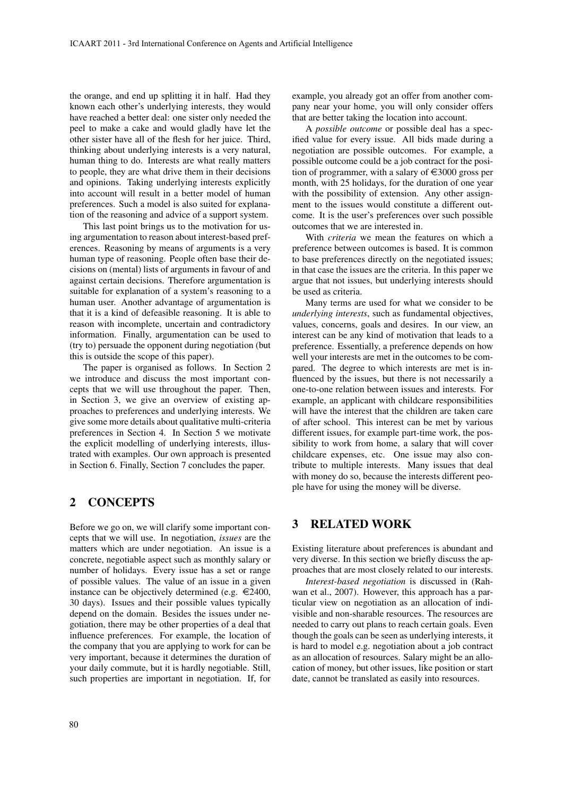the orange, and end up splitting it in half. Had they known each other's underlying interests, they would have reached a better deal: one sister only needed the peel to make a cake and would gladly have let the other sister have all of the flesh for her juice. Third, thinking about underlying interests is a very natural, human thing to do. Interests are what really matters to people, they are what drive them in their decisions and opinions. Taking underlying interests explicitly into account will result in a better model of human preferences. Such a model is also suited for explanation of the reasoning and advice of a support system.

This last point brings us to the motivation for using argumentation to reason about interest-based preferences. Reasoning by means of arguments is a very human type of reasoning. People often base their decisions on (mental) lists of arguments in favour of and against certain decisions. Therefore argumentation is suitable for explanation of a system's reasoning to a human user. Another advantage of argumentation is that it is a kind of defeasible reasoning. It is able to reason with incomplete, uncertain and contradictory information. Finally, argumentation can be used to (try to) persuade the opponent during negotiation (but this is outside the scope of this paper).

The paper is organised as follows. In Section 2 we introduce and discuss the most important concepts that we will use throughout the paper. Then, in Section 3, we give an overview of existing approaches to preferences and underlying interests. We give some more details about qualitative multi-criteria preferences in Section 4. In Section 5 we motivate the explicit modelling of underlying interests, illustrated with examples. Our own approach is presented in Section 6. Finally, Section 7 concludes the paper.

### 2 CONCEPTS

Before we go on, we will clarify some important concepts that we will use. In negotiation, *issues* are the matters which are under negotiation. An issue is a concrete, negotiable aspect such as monthly salary or number of holidays. Every issue has a set or range of possible values. The value of an issue in a given instance can be objectively determined (e.g.  $\in$  2400, 30 days). Issues and their possible values typically depend on the domain. Besides the issues under negotiation, there may be other properties of a deal that influence preferences. For example, the location of the company that you are applying to work for can be very important, because it determines the duration of your daily commute, but it is hardly negotiable. Still, such properties are important in negotiation. If, for

example, you already got an offer from another company near your home, you will only consider offers that are better taking the location into account.

A *possible outcome* or possible deal has a specified value for every issue. All bids made during a negotiation are possible outcomes. For example, a possible outcome could be a job contract for the position of programmer, with a salary of  $\epsilon$ 3000 gross per month, with 25 holidays, for the duration of one year with the possibility of extension. Any other assignment to the issues would constitute a different outcome. It is the user's preferences over such possible outcomes that we are interested in.

With *criteria* we mean the features on which a preference between outcomes is based. It is common to base preferences directly on the negotiated issues; in that case the issues are the criteria. In this paper we argue that not issues, but underlying interests should be used as criteria.

Many terms are used for what we consider to be *underlying interests*, such as fundamental objectives, values, concerns, goals and desires. In our view, an interest can be any kind of motivation that leads to a preference. Essentially, a preference depends on how well your interests are met in the outcomes to be compared. The degree to which interests are met is influenced by the issues, but there is not necessarily a one-to-one relation between issues and interests. For example, an applicant with childcare responsibilities will have the interest that the children are taken care of after school. This interest can be met by various different issues, for example part-time work, the possibility to work from home, a salary that will cover childcare expenses, etc. One issue may also contribute to multiple interests. Many issues that deal with money do so, because the interests different people have for using the money will be diverse.

## 3 RELATED WORK

Existing literature about preferences is abundant and very diverse. In this section we briefly discuss the approaches that are most closely related to our interests.

*Interest-based negotiation* is discussed in (Rahwan et al., 2007). However, this approach has a particular view on negotiation as an allocation of indivisible and non-sharable resources. The resources are needed to carry out plans to reach certain goals. Even though the goals can be seen as underlying interests, it is hard to model e.g. negotiation about a job contract as an allocation of resources. Salary might be an allocation of money, but other issues, like position or start date, cannot be translated as easily into resources.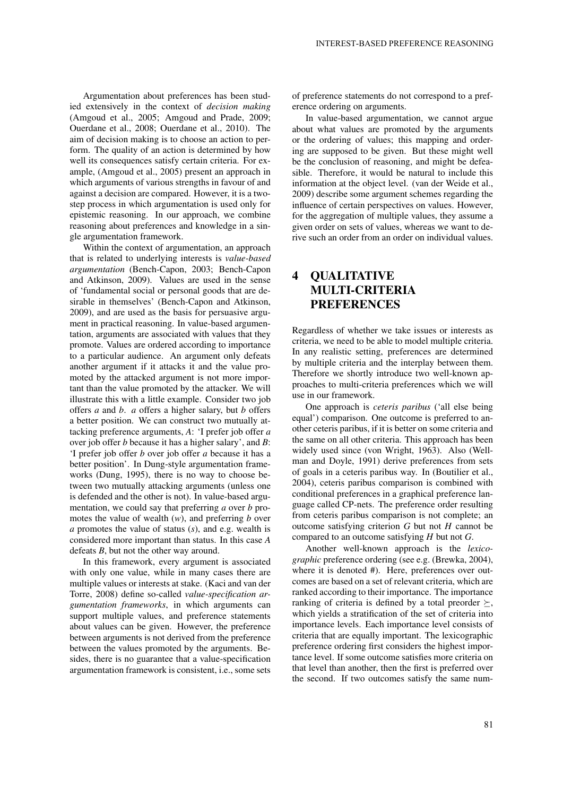Argumentation about preferences has been studied extensively in the context of *decision making* (Amgoud et al., 2005; Amgoud and Prade, 2009; Ouerdane et al., 2008; Ouerdane et al., 2010). The aim of decision making is to choose an action to perform. The quality of an action is determined by how well its consequences satisfy certain criteria. For example, (Amgoud et al., 2005) present an approach in which arguments of various strengths in favour of and against a decision are compared. However, it is a twostep process in which argumentation is used only for epistemic reasoning. In our approach, we combine reasoning about preferences and knowledge in a single argumentation framework.

Within the context of argumentation, an approach that is related to underlying interests is *value-based argumentation* (Bench-Capon, 2003; Bench-Capon and Atkinson, 2009). Values are used in the sense of 'fundamental social or personal goods that are desirable in themselves' (Bench-Capon and Atkinson, 2009), and are used as the basis for persuasive argument in practical reasoning. In value-based argumentation, arguments are associated with values that they promote. Values are ordered according to importance to a particular audience. An argument only defeats another argument if it attacks it and the value promoted by the attacked argument is not more important than the value promoted by the attacker. We will illustrate this with a little example. Consider two job offers *a* and *b*. *a* offers a higher salary, but *b* offers a better position. We can construct two mutually attacking preference arguments, *A*: 'I prefer job offer *a* over job offer *b* because it has a higher salary', and *B*: 'I prefer job offer *b* over job offer *a* because it has a better position'. In Dung-style argumentation frameworks (Dung, 1995), there is no way to choose between two mutually attacking arguments (unless one is defended and the other is not). In value-based argumentation, we could say that preferring *a* over *b* promotes the value of wealth (*w*), and preferring *b* over *a* promotes the value of status (*s*), and e.g. wealth is considered more important than status. In this case *A* defeats *B*, but not the other way around.

In this framework, every argument is associated with only one value, while in many cases there are multiple values or interests at stake. (Kaci and van der Torre, 2008) define so-called *value-specification argumentation frameworks*, in which arguments can support multiple values, and preference statements about values can be given. However, the preference between arguments is not derived from the preference between the values promoted by the arguments. Besides, there is no guarantee that a value-specification argumentation framework is consistent, i.e., some sets of preference statements do not correspond to a preference ordering on arguments.

In value-based argumentation, we cannot argue about what values are promoted by the arguments or the ordering of values; this mapping and ordering are supposed to be given. But these might well be the conclusion of reasoning, and might be defeasible. Therefore, it would be natural to include this information at the object level. (van der Weide et al., 2009) describe some argument schemes regarding the influence of certain perspectives on values. However, for the aggregation of multiple values, they assume a given order on sets of values, whereas we want to derive such an order from an order on individual values.

# 4 QUALITATIVE MULTI-CRITERIA PREFERENCES

Regardless of whether we take issues or interests as criteria, we need to be able to model multiple criteria. In any realistic setting, preferences are determined by multiple criteria and the interplay between them. Therefore we shortly introduce two well-known approaches to multi-criteria preferences which we will use in our framework.

One approach is *ceteris paribus* ('all else being equal') comparison. One outcome is preferred to another ceteris paribus, if it is better on some criteria and the same on all other criteria. This approach has been widely used since (von Wright, 1963). Also (Wellman and Doyle, 1991) derive preferences from sets of goals in a ceteris paribus way. In (Boutilier et al., 2004), ceteris paribus comparison is combined with conditional preferences in a graphical preference language called CP-nets. The preference order resulting from ceteris paribus comparison is not complete; an outcome satisfying criterion *G* but not *H* cannot be compared to an outcome satisfying *H* but not *G*.

Another well-known approach is the *lexicographic* preference ordering (see e.g. (Brewka, 2004), where it is denoted #). Here, preferences over outcomes are based on a set of relevant criteria, which are ranked according to their importance. The importance ranking of criteria is defined by a total preorder  $\succeq$ , which yields a stratification of the set of criteria into importance levels. Each importance level consists of criteria that are equally important. The lexicographic preference ordering first considers the highest importance level. If some outcome satisfies more criteria on that level than another, then the first is preferred over the second. If two outcomes satisfy the same num-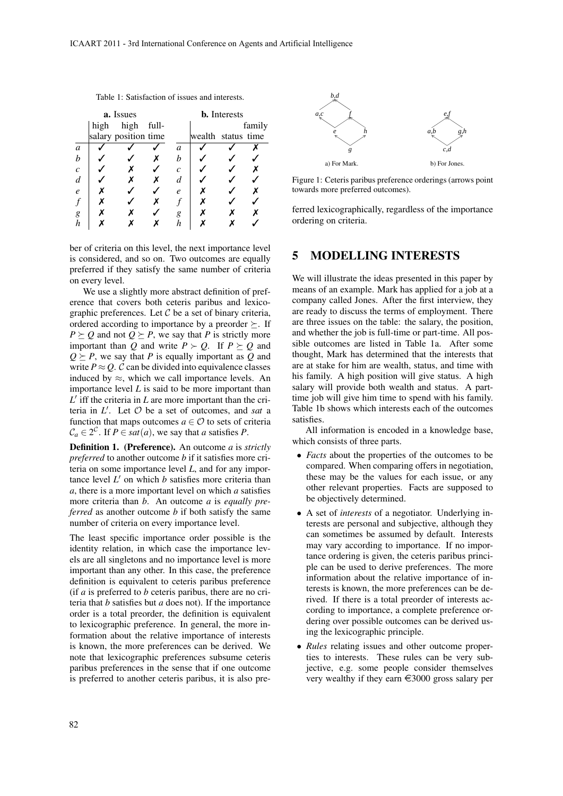|                         |      | a. Issues            |       | <b>b.</b> Interests |                    |  |        |  |
|-------------------------|------|----------------------|-------|---------------------|--------------------|--|--------|--|
|                         | high | high                 | full- |                     |                    |  | family |  |
|                         |      | salary position time |       |                     | wealth status time |  |        |  |
| $\mathfrak{a}$          |      |                      |       | $\overline{a}$      |                    |  |        |  |
| h                       |      |                      |       | h                   |                    |  |        |  |
| $\mathcal{C}_{0}^{(n)}$ |      |                      |       | $\overline{c}$      |                    |  |        |  |
| $\overline{d}$          |      |                      |       | d                   |                    |  |        |  |
| $\ell$                  |      |                      |       | $\boldsymbol{e}$    |                    |  |        |  |
|                         |      |                      |       |                     |                    |  |        |  |
| g                       |      |                      |       | g                   |                    |  |        |  |
|                         |      |                      |       | h                   |                    |  |        |  |

Table 1: Satisfaction of issues and interests.

ber of criteria on this level, the next importance level is considered, and so on. Two outcomes are equally preferred if they satisfy the same number of criteria on every level.

We use a slightly more abstract definition of preference that covers both ceteris paribus and lexicographic preferences. Let  $C$  be a set of binary criteria, ordered according to importance by a preorder  $\succeq$ . If  $P \succeq Q$  and not  $Q \succeq P$ , we say that *P* is strictly more important than *Q* and write  $P \succ Q$ . If  $P \succeq Q$  and  $Q \succeq P$ , we say that *P* is equally important as *Q* and write  $P \approx Q$ .  $C$  can be divided into equivalence classes induced by  $\approx$ , which we call importance levels. An importance level *L* is said to be more important than  $L'$  iff the criteria in  $L$  are more important than the criteria in  $L'$ . Let  $O$  be a set of outcomes, and *sat* a function that maps outcomes  $a \in \mathcal{O}$  to sets of criteria  $\mathcal{C}_a \in 2^{\mathcal{C}}$ . If  $P \in sat(a)$ , we say that *a* satisfies *P*.

Definition 1. (Preference). An outcome *a* is *strictly preferred* to another outcome *b* if it satisfies more criteria on some importance level *L*, and for any importance level *L'* on which *b* satisfies more criteria than *a*, there is a more important level on which *a* satisfies more criteria than *b*. An outcome *a* is *equally preferred* as another outcome *b* if both satisfy the same number of criteria on every importance level.

The least specific importance order possible is the identity relation, in which case the importance levels are all singletons and no importance level is more important than any other. In this case, the preference definition is equivalent to ceteris paribus preference (if *a* is preferred to *b* ceteris paribus, there are no criteria that *b* satisfies but *a* does not). If the importance order is a total preorder, the definition is equivalent to lexicographic preference. In general, the more information about the relative importance of interests is known, the more preferences can be derived. We note that lexicographic preferences subsume ceteris paribus preferences in the sense that if one outcome is preferred to another ceteris paribus, it is also pre-



Figure 1: Ceteris paribus preference orderings (arrows point towards more preferred outcomes).

ferred lexicographically, regardless of the importance ordering on criteria.

### 5 MODELLING INTERESTS

We will illustrate the ideas presented in this paper by means of an example. Mark has applied for a job at a company called Jones. After the first interview, they are ready to discuss the terms of employment. There are three issues on the table: the salary, the position, and whether the job is full-time or part-time. All possible outcomes are listed in Table 1a. After some thought, Mark has determined that the interests that are at stake for him are wealth, status, and time with his family. A high position will give status. A high salary will provide both wealth and status. A parttime job will give him time to spend with his family. Table 1b shows which interests each of the outcomes satisfies.

All information is encoded in a knowledge base, which consists of three parts.

- *Facts* about the properties of the outcomes to be compared. When comparing offers in negotiation, these may be the values for each issue, or any other relevant properties. Facts are supposed to be objectively determined.
- A set of *interests* of a negotiator. Underlying interests are personal and subjective, although they can sometimes be assumed by default. Interests may vary according to importance. If no importance ordering is given, the ceteris paribus principle can be used to derive preferences. The more information about the relative importance of interests is known, the more preferences can be derived. If there is a total preorder of interests according to importance, a complete preference ordering over possible outcomes can be derived using the lexicographic principle.
- *Rules* relating issues and other outcome properties to interests. These rules can be very subjective, e.g. some people consider themselves very wealthy if they earn  $\epsilon$ 3000 gross salary per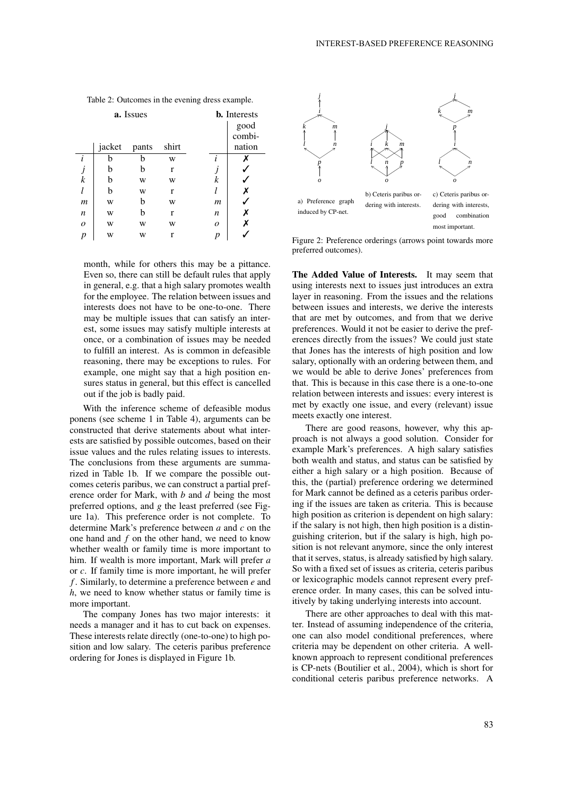|                  | a. Issues |       | <b>b.</b> Interests |   |        |
|------------------|-----------|-------|---------------------|---|--------|
|                  |           |       |                     |   | good   |
|                  |           |       |                     |   | combi- |
|                  | jacket    | pants | shirt               |   | nation |
| i                |           |       | W                   |   |        |
| j                | b         | h     | r                   |   |        |
| k                | b         | W     | W                   | k |        |
| l                | b         | W     | r                   | l |        |
| $\boldsymbol{m}$ | W         | b     | W                   | m |        |
| n                | W         | b     | r                   | n | х      |
| $\boldsymbol{o}$ | W         | W     | W                   | 0 |        |
| p                | W         | W     | r                   | p |        |

Table 2: Outcomes in the evening dress example.

month, while for others this may be a pittance. Even so, there can still be default rules that apply in general, e.g. that a high salary promotes wealth for the employee. The relation between issues and interests does not have to be one-to-one. There may be multiple issues that can satisfy an interest, some issues may satisfy multiple interests at once, or a combination of issues may be needed to fulfill an interest. As is common in defeasible reasoning, there may be exceptions to rules. For example, one might say that a high position ensures status in general, but this effect is cancelled out if the job is badly paid.

With the inference scheme of defeasible modus ponens (see scheme 1 in Table 4), arguments can be constructed that derive statements about what interests are satisfied by possible outcomes, based on their issue values and the rules relating issues to interests. The conclusions from these arguments are summarized in Table 1b. If we compare the possible outcomes ceteris paribus, we can construct a partial preference order for Mark, with *b* and *d* being the most preferred options, and *g* the least preferred (see Figure 1a). This preference order is not complete. To determine Mark's preference between *a* and *c* on the one hand and *f* on the other hand, we need to know whether wealth or family time is more important to him. If wealth is more important, Mark will prefer *a* or *c*. If family time is more important, he will prefer *f* . Similarly, to determine a preference between *e* and *h*, we need to know whether status or family time is more important.

The company Jones has two major interests: it needs a manager and it has to cut back on expenses. These interests relate directly (one-to-one) to high position and low salary. The ceteris paribus preference ordering for Jones is displayed in Figure 1b.



Figure 2: Preference orderings (arrows point towards more preferred outcomes).

The Added Value of Interests. It may seem that using interests next to issues just introduces an extra layer in reasoning. From the issues and the relations between issues and interests, we derive the interests that are met by outcomes, and from that we derive preferences. Would it not be easier to derive the preferences directly from the issues? We could just state that Jones has the interests of high position and low salary, optionally with an ordering between them, and we would be able to derive Jones' preferences from that. This is because in this case there is a one-to-one relation between interests and issues: every interest is met by exactly one issue, and every (relevant) issue meets exactly one interest.

There are good reasons, however, why this approach is not always a good solution. Consider for example Mark's preferences. A high salary satisfies both wealth and status, and status can be satisfied by either a high salary or a high position. Because of this, the (partial) preference ordering we determined for Mark cannot be defined as a ceteris paribus ordering if the issues are taken as criteria. This is because high position as criterion is dependent on high salary: if the salary is not high, then high position is a distinguishing criterion, but if the salary is high, high position is not relevant anymore, since the only interest that it serves, status, is already satisfied by high salary. So with a fixed set of issues as criteria, ceteris paribus or lexicographic models cannot represent every preference order. In many cases, this can be solved intuitively by taking underlying interests into account.

There are other approaches to deal with this matter. Instead of assuming independence of the criteria, one can also model conditional preferences, where criteria may be dependent on other criteria. A wellknown approach to represent conditional preferences is CP-nets (Boutilier et al., 2004), which is short for conditional ceteris paribus preference networks. A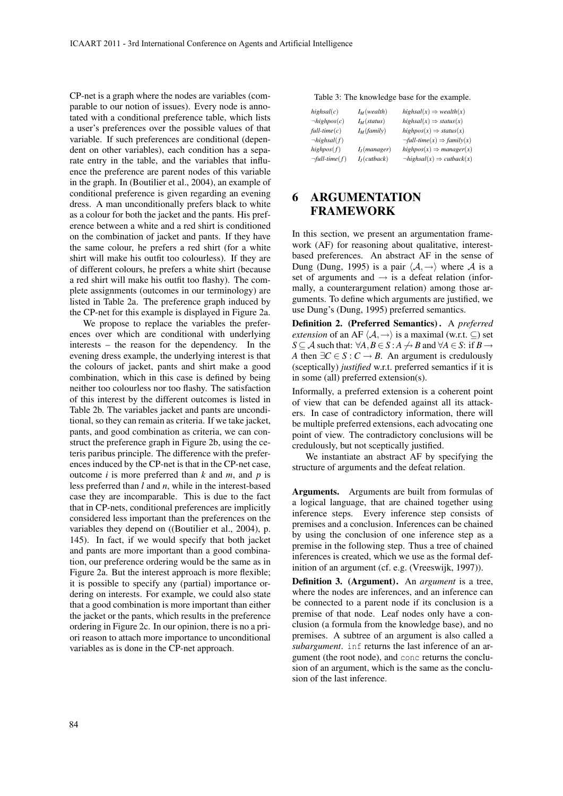CP-net is a graph where the nodes are variables (comparable to our notion of issues). Every node is annotated with a conditional preference table, which lists a user's preferences over the possible values of that variable. If such preferences are conditional (dependent on other variables), each condition has a separate entry in the table, and the variables that influence the preference are parent nodes of this variable in the graph. In (Boutilier et al., 2004), an example of conditional preference is given regarding an evening dress. A man unconditionally prefers black to white as a colour for both the jacket and the pants. His preference between a white and a red shirt is conditioned on the combination of jacket and pants. If they have the same colour, he prefers a red shirt (for a white shirt will make his outfit too colourless). If they are of different colours, he prefers a white shirt (because a red shirt will make his outfit too flashy). The complete assignments (outcomes in our terminology) are listed in Table 2a. The preference graph induced by the CP-net for this example is displayed in Figure 2a.

We propose to replace the variables the preferences over which are conditional with underlying interests – the reason for the dependency. In the evening dress example, the underlying interest is that the colours of jacket, pants and shirt make a good combination, which in this case is defined by being neither too colourless nor too flashy. The satisfaction of this interest by the different outcomes is listed in Table 2b. The variables jacket and pants are unconditional, so they can remain as criteria. If we take jacket, pants, and good combination as criteria, we can construct the preference graph in Figure 2b, using the ceteris paribus principle. The difference with the preferences induced by the CP-net is that in the CP-net case, outcome *i* is more preferred than  $k$  and  $m$ , and  $p$  is less preferred than *l* and *n*, while in the interest-based case they are incomparable. This is due to the fact that in CP-nets, conditional preferences are implicitly considered less important than the preferences on the variables they depend on ((Boutilier et al., 2004), p. 145). In fact, if we would specify that both jacket and pants are more important than a good combination, our preference ordering would be the same as in Figure 2a. But the interest approach is more flexible; it is possible to specify any (partial) importance ordering on interests. For example, we could also state that a good combination is more important than either the jacket or the pants, which results in the preference ordering in Figure 2c. In our opinion, there is no a priori reason to attach more importance to unconditional variables as is done in the CP-net approach.

### Table 3: The knowledge base for the example.

| highsal(c)          | $I_M(wealth)$   | $highsal(x) \Rightarrow wealth(x)$        |
|---------------------|-----------------|-------------------------------------------|
| $\neg highpos(c)$   | $I_M(status)$   | $highsal(x) \Rightarrow status(x)$        |
| $full-time(c)$      | $I_M(family)$   | $highpos(x) \Rightarrow status(x)$        |
| $\neg highsal(f)$   |                 | $\neg full-time(x) \Rightarrow family(x)$ |
| highpos(f)          | $I_J$ (manager) | $highpos(x) \Rightarrow manager(x)$       |
| $\neg full-time(f)$ | $I_J(cutback)$  | $\neg highsal(x) \Rightarrow cutback(x)$  |

## 6 ARGUMENTATION FRAMEWORK

In this section, we present an argumentation framework (AF) for reasoning about qualitative, interestbased preferences. An abstract AF in the sense of Dung (Dung, 1995) is a pair  $\langle A,\rightarrow\rangle$  where A is a set of arguments and  $\rightarrow$  is a defeat relation (informally, a counterargument relation) among those arguments. To define which arguments are justified, we use Dung's (Dung, 1995) preferred semantics.

Definition 2. (Preferred Semantics) . A *preferred extension* of an AF  $\langle A, \rightarrow \rangle$  is a maximal (w.r.t. ⊆) set *S* ⊆ *A* such that:  $\forall A, B \in S : A \nrightarrow B$  and  $\forall A \in S :$  if *B* → *A* then  $\exists C \in S : C \rightarrow B$ . An argument is credulously (sceptically) *justified* w.r.t. preferred semantics if it is in some (all) preferred extension(s).

Informally, a preferred extension is a coherent point of view that can be defended against all its attackers. In case of contradictory information, there will be multiple preferred extensions, each advocating one point of view. The contradictory conclusions will be credulously, but not sceptically justified.

We instantiate an abstract AF by specifying the structure of arguments and the defeat relation.

Arguments. Arguments are built from formulas of a logical language, that are chained together using inference steps. Every inference step consists of premises and a conclusion. Inferences can be chained by using the conclusion of one inference step as a premise in the following step. Thus a tree of chained inferences is created, which we use as the formal definition of an argument (cf. e.g. (Vreeswijk, 1997)).

Definition 3. (Argument). An *argument* is a tree, where the nodes are inferences, and an inference can be connected to a parent node if its conclusion is a premise of that node. Leaf nodes only have a conclusion (a formula from the knowledge base), and no premises. A subtree of an argument is also called a *subargument*. inf returns the last inference of an argument (the root node), and conc returns the conclusion of an argument, which is the same as the conclusion of the last inference.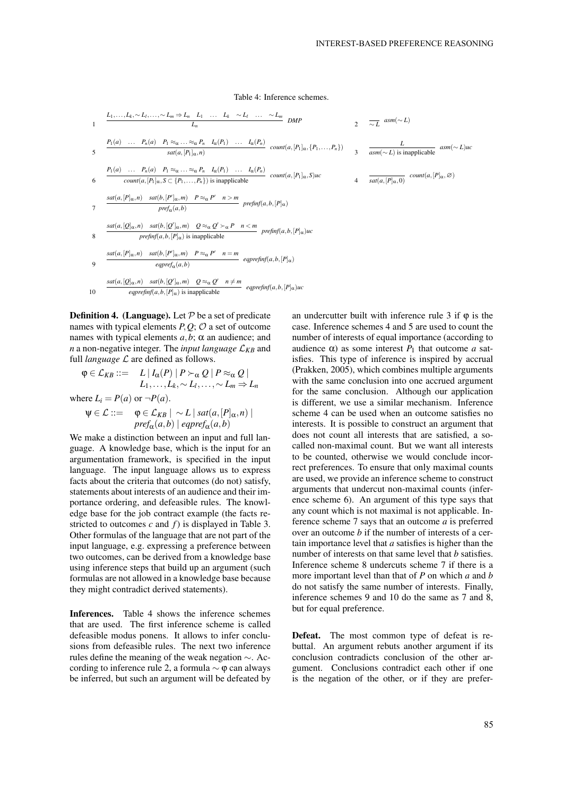#### Table 4: Inference schemes.

|                | $L_1, \ldots, L_k, \sim L_l, \ldots, \sim L_m \Rightarrow L_n \quad L_1 \quad \ldots \quad L_k \quad \sim L_l \quad \ldots \quad \sim L_m$ DMP                                                                                                                                                                                                                                                                                                                                                                                                                                                                   | $\mathcal{L}$  | $\overline{\sim_L}$ asm $(\sim L)$                                                      |
|----------------|------------------------------------------------------------------------------------------------------------------------------------------------------------------------------------------------------------------------------------------------------------------------------------------------------------------------------------------------------------------------------------------------------------------------------------------------------------------------------------------------------------------------------------------------------------------------------------------------------------------|----------------|-----------------------------------------------------------------------------------------|
| $\overline{5}$ | $\frac{P_1(a) \dots P_n(a) \cdot P_1 \approx_{\alpha} \dots \approx_{\alpha} P_n \cdot I_{\alpha}(P_1) \dots I_{\alpha}(P_n)}{sat(a,[P_1]_{\alpha},n)}$ count $(a,[P_1]_{\alpha},\{P_1,\dots,P_n\})$ $\frac{L}{asm(\sim L)$ is inapplicable $asm(\sim L)uc$                                                                                                                                                                                                                                                                                                                                                      |                |                                                                                         |
| 6              | $\frac{P_1(a) \dots P_n(a) \cdot P_1 \approx_{\alpha} \dots \approx_{\alpha} P_n \cdot I_{\alpha}(P_1) \dots I_{\alpha}(P_n)}{count(a, [P_1]_{\alpha}, S \subset \{P_1, \dots, P_n\})}$ is inapplicable count $(a, [P_1]_{\alpha}, S)$ uc                                                                                                                                                                                                                                                                                                                                                                        | $\overline{4}$ | $\overline{\mathit{sat}(a,[P]_\alpha,0)}\quad \mathit{count}(a,[P]_\alpha,\varnothing)$ |
| $\tau$         | $\frac{sat(a,[P]_{\alpha},n) - sat(b,[P']_{\alpha},m) - P \approx_{\alpha} P' - n > m}{prefin(a,b,[P]_{\alpha})} \ \ \frac{p}{\alpha}$                                                                                                                                                                                                                                                                                                                                                                                                                                                                           |                |                                                                                         |
| 8              | $\frac{sat(a,[Q]_{\alpha},n) - sat(b,[Q']_{\alpha},m) - Q \approx_{\alpha} Q' \succ_{\alpha} P - n < m}{prefinf(a,b,[P]_{\alpha})}$ prefinf(a,b, [P] <sub><math>\alpha</math></sub> ) is inapplicable                                                                                                                                                                                                                                                                                                                                                                                                            |                |                                                                                         |
| $\mathbf{Q}$   | $\frac{\mathit{sat}(a,[P]_\alpha,n)\quad \mathit{sat}(b,[P']_\alpha,m)\quad P\approx_\alpha P'\quad n=m}{\mathit{egprefinf}(a,b,[P]_\alpha)}$                                                                                                                                                                                                                                                                                                                                                                                                                                                                    |                |                                                                                         |
| 10             | $\label{eq:1} \underline{sat(a,[Q]_\alpha,n)} \quad \  \  \underline{sat(b,[Q']_\alpha,m)} \quad \  \underline{Q} \approx_\alpha \underline{Q'} \quad \  \  n \neq m \\ \quad \  \  \underline{e} \quad \  \  \underline{a} \quad \  \  \underline{d} \quad \  \  \underline{f} \quad \  \  \underline{f} \quad \  \  \underline{f} \quad \  \  \underline{f} \quad \  \  \underline{f} \quad \  \  \underline{f} \quad \  \  \underline{f} \quad \  \  \underline{f} \quad \  \  \underline{f} \quad \  \  \underline{f} \quad \  \  \underline{f$<br><i>eqprefinf</i> ( $a, b, [P]_{\alpha}$ ) is inapplicable |                |                                                                                         |

**Definition 4. (Language).** Let  $P$  be a set of predicate names with typical elements  $P, Q$ ;  $Q$  a set of outcome names with typical elements  $a, b$ ;  $\alpha$  an audience; and  $n$  a non-negative integer. The *input language*  $\mathcal{L}_{KB}$  and full *language*  $\mathcal L$  are defined as follows.

$$
\varphi \in \mathcal{L}_{KB} ::= L | I_{\alpha}(P) | P \succ_{\alpha} Q | P \approx_{\alpha} Q |
$$
  

$$
L_1, \ldots, L_k, \sim L_1, \ldots, \sim L_m \Rightarrow L_n
$$

where  $L_i = P(a)$  or  $\neg P(a)$ .

$$
\psi \in \mathcal{L} ::= \varphi \in \mathcal{L}_{KB} \mid \sim L \mid sat(a, [P]_{\alpha}, n) \mid
$$
  

$$
pref_{\alpha}(a, b) \mid eapref_{\alpha}(a, b)
$$

We make a distinction between an input and full language. A knowledge base, which is the input for an argumentation framework, is specified in the input language. The input language allows us to express facts about the criteria that outcomes (do not) satisfy, statements about interests of an audience and their importance ordering, and defeasible rules. The knowledge base for the job contract example (the facts restricted to outcomes *c* and *f*) is displayed in Table 3. Other formulas of the language that are not part of the input language, e.g. expressing a preference between two outcomes, can be derived from a knowledge base using inference steps that build up an argument (such formulas are not allowed in a knowledge base because they might contradict derived statements).

Inferences. Table 4 shows the inference schemes that are used. The first inference scheme is called defeasible modus ponens. It allows to infer conclusions from defeasible rules. The next two inference rules define the meaning of the weak negation ∼. According to inference rule 2, a formula  $\sim \varphi$  can always be inferred, but such an argument will be defeated by an undercutter built with inference rule 3 if  $\varphi$  is the case. Inference schemes 4 and 5 are used to count the number of interests of equal importance (according to audience  $\alpha$ ) as some interest  $P_1$  that outcome *a* satisfies. This type of inference is inspired by accrual (Prakken, 2005), which combines multiple arguments with the same conclusion into one accrued argument for the same conclusion. Although our application is different, we use a similar mechanism. Inference scheme 4 can be used when an outcome satisfies no interests. It is possible to construct an argument that does not count all interests that are satisfied, a socalled non-maximal count. But we want all interests to be counted, otherwise we would conclude incorrect preferences. To ensure that only maximal counts are used, we provide an inference scheme to construct arguments that undercut non-maximal counts (inference scheme 6). An argument of this type says that any count which is not maximal is not applicable. Inference scheme 7 says that an outcome *a* is preferred over an outcome *b* if the number of interests of a certain importance level that *a* satisfies is higher than the number of interests on that same level that *b* satisfies. Inference scheme 8 undercuts scheme 7 if there is a more important level than that of *P* on which *a* and *b* do not satisfy the same number of interests. Finally, inference schemes 9 and 10 do the same as 7 and 8, but for equal preference.

Defeat. The most common type of defeat is rebuttal. An argument rebuts another argument if its conclusion contradicts conclusion of the other argument. Conclusions contradict each other if one is the negation of the other, or if they are prefer-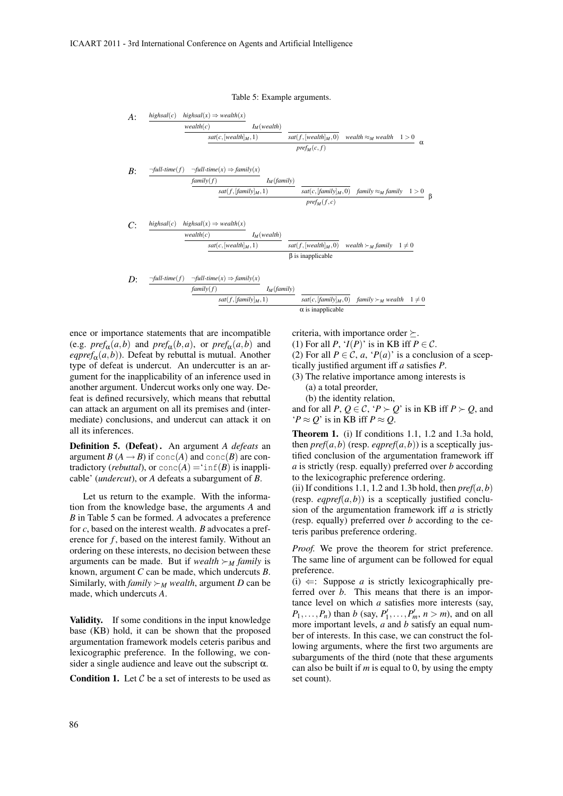

| $A$ : | highsal(c)          | $highsal(x) \Rightarrow wealth(x)$ |                                                  |               |                         |                                                                   |
|-------|---------------------|------------------------------------|--------------------------------------------------|---------------|-------------------------|-------------------------------------------------------------------|
|       |                     | wealth(c)                          |                                                  | $I_M(wealth)$ |                         |                                                                   |
|       |                     |                                    | $sat(c,[wealth]_M, 1)$                           |               |                         | $sat(f,[wealth]_M,0)$ wealth $\approx_M$ wealth $1>0$<br>$\alpha$ |
|       |                     |                                    |                                                  |               | $pref_M(c,f)$           |                                                                   |
|       | $\neg full-time(f)$ |                                    | $\neg full\text{-}time(x) \Rightarrow family(x)$ |               |                         |                                                                   |
|       |                     | family(f)                          |                                                  | $I_M(family)$ |                         |                                                                   |
|       |                     |                                    | $sat(f,[family]_M, 1)$                           |               |                         | $sat(c, [family]_M, 0)$ family $\approx_M$ family $1 > 0$         |
|       |                     |                                    |                                                  |               |                         |                                                                   |
|       |                     |                                    |                                                  |               | $pref_M(f,c)$           |                                                                   |
|       |                     |                                    |                                                  |               |                         |                                                                   |
|       | highsal(c)          | $highsal(x) \Rightarrow wealth(x)$ |                                                  |               |                         |                                                                   |
|       |                     | wealth(c)                          |                                                  | $I_M(wealth)$ |                         |                                                                   |
|       |                     |                                    | $sat(c,[weak]_M,1)$                              |               |                         | $sat(f,[wealth]_M,0)$ wealth $\succ_M$ family $1 \neq 0$          |
|       |                     |                                    |                                                  |               | $\beta$ is inapplicable |                                                                   |
|       |                     |                                    |                                                  |               |                         |                                                                   |
|       | $\neg full-time(f)$ |                                    | $\neg full\text{-}time(x) \Rightarrow family(x)$ |               |                         |                                                                   |
|       |                     | family(f)                          |                                                  | $I_M(family)$ |                         |                                                                   |
|       |                     |                                    | $sat(f,[family]_M, 1)$                           |               |                         | $sat(c, [family]_M, 0)$ family $\succ_M$ wealth $1 \neq 0$        |

ence or importance statements that are incompatible (e.g.  $\text{pref}_\alpha(a,b)$  and  $\text{pref}_\alpha(b,a)$ , or  $\text{pref}_\alpha(a,b)$  and  $\text{e}q\text{pref}_\alpha(a,b)$ ). Defeat by rebuttal is mutual. Another type of defeat is undercut. An undercutter is an argument for the inapplicability of an inference used in another argument. Undercut works only one way. Defeat is defined recursively, which means that rebuttal can attack an argument on all its premises and (intermediate) conclusions, and undercut can attack it on all its inferences.

Definition 5. (Defeat) . An argument *A defeats* an argument *B* ( $A \rightarrow B$ ) if conc(*A*) and conc(*B*) are contradictory (*rebuttal*), or  $conc(A) = \text{inf}(B)$  is inapplicable' (*undercut*), or *A* defeats a subargument of *B*.

Let us return to the example. With the information from the knowledge base, the arguments *A* and *B* in Table 5 can be formed. *A* advocates a preference for *c*, based on the interest wealth. *B* advocates a preference for *f*, based on the interest family. Without an ordering on these interests, no decision between these arguments can be made. But if *wealth*  $\succ_M$  *family* is known, argument *C* can be made, which undercuts *B*. Similarly, with *family*  $\succ_M$  *wealth*, argument *D* can be made, which undercuts *A*.

Validity. If some conditions in the input knowledge base (KB) hold, it can be shown that the proposed argumentation framework models ceteris paribus and lexicographic preference. In the following, we consider a single audience and leave out the subscript  $\alpha$ .

**Condition 1.** Let  $\mathcal C$  be a set of interests to be used as

criteria, with importance order  $\succeq$ .

(1) For all *P*, ' $I(P)$ ' is in KB iff  $P \in \mathcal{C}$ . (2) For all  $P \in \mathcal{C}$ , *a*, ' $P(a)$ ' is a conclusion of a scep-

tically justified argument iff *a* satisfies *P*.

(3) The relative importance among interests is (a) a total preorder,

(b) the identity relation,

and for all *P*,  $Q \in \mathcal{C}$ , ' $P \succ Q$ ' is in KB iff  $P \succ Q$ , and *'P* ≈ *Q*' is in KB iff  $P \approx Q$ .

Theorem 1. (i) If conditions 1.1, 1.2 and 1.3a hold, then  $pref(a,b)$  (resp. *eqpref* $(a,b)$ ) is a sceptically justified conclusion of the argumentation framework iff *a* is strictly (resp. equally) preferred over *b* according to the lexicographic preference ordering.

(ii) If conditions 1.1, 1.2 and 1.3b hold, then  $pref(a,b)$ (resp. *eqpref* $(a, b)$ ) is a sceptically justified conclusion of the argumentation framework iff *a* is strictly (resp. equally) preferred over *b* according to the ceteris paribus preference ordering.

*Proof.* We prove the theorem for strict preference. The same line of argument can be followed for equal preference.

(i)  $\Leftarrow$ : Suppose *a* is strictly lexicographically preferred over *b*. This means that there is an importance level on which *a* satisfies more interests (say,  $P_1, \ldots, P_n$ ) than *b* (say,  $P'_1, \ldots, P'_m, n > m$ ), and on all more important levels, *a* and *b* satisfy an equal number of interests. In this case, we can construct the following arguments, where the first two arguments are subarguments of the third (note that these arguments can also be built if *m* is equal to 0, by using the empty set count).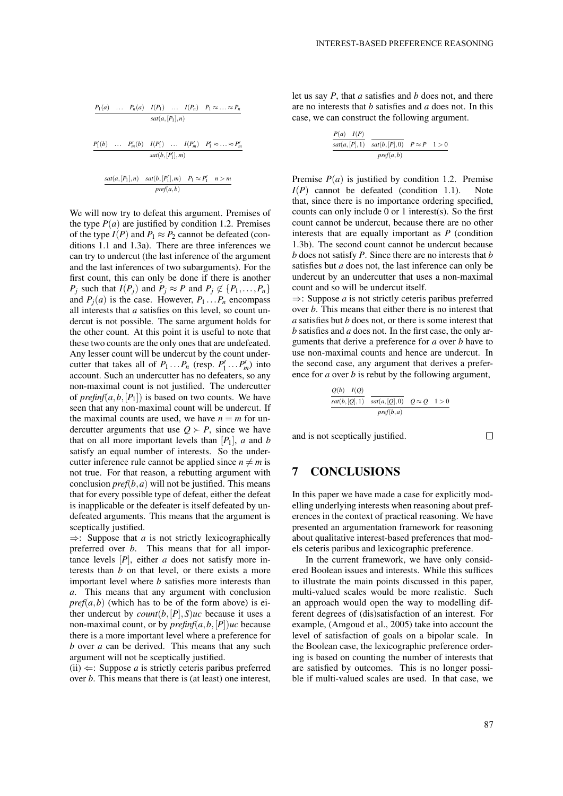| $sat(b,[P_1'],m)$ |  |  |  |           |                                                                                                                                                                                                                                 |  |  |  |
|-------------------|--|--|--|-----------|---------------------------------------------------------------------------------------------------------------------------------------------------------------------------------------------------------------------------------|--|--|--|
|                   |  |  |  |           |                                                                                                                                                                                                                                 |  |  |  |
|                   |  |  |  |           |                                                                                                                                                                                                                                 |  |  |  |
|                   |  |  |  |           |                                                                                                                                                                                                                                 |  |  |  |
|                   |  |  |  |           |                                                                                                                                                                                                                                 |  |  |  |
|                   |  |  |  | pref(a,b) | $P_1(a)$ $P_n(a)$ $I(P_1)$ $I(P_n)$ $P_1 \approx  \approx P_n$<br>$sat(a,[P_1],n)$<br>$P'_1(b)$ $P'_m(b)$ $I(P'_1)$ $I(P'_m)$ $P'_1 \approx  \approx P'_m$<br>$sat(a, [P_1], n)$ $sat(b, [P'_1], m)$ $P_1 \approx P'_1$ $n > m$ |  |  |  |

We will now try to defeat this argument. Premises of the type  $P(a)$  are justified by condition 1.2. Premises of the type  $I(P)$  and  $P_1 \approx P_2$  cannot be defeated (conditions 1.1 and 1.3a). There are three inferences we can try to undercut (the last inference of the argument and the last inferences of two subarguments). For the first count, this can only be done if there is another *P<sub>j</sub>* such that *I*(*P<sub>j</sub>*) and  $P_j \approx P$  and  $P_j \notin \{P_1, \ldots, P_n\}$ and  $P_i(a)$  is the case. However,  $P_1 \ldots P_n$  encompass all interests that *a* satisfies on this level, so count undercut is not possible. The same argument holds for the other count. At this point it is useful to note that these two counts are the only ones that are undefeated. Any lesser count will be undercut by the count undercutter that takes all of  $P_1 \dots P_n$  (resp.  $P'_1 \dots P'_m$ ) into account. Such an undercutter has no defeaters, so any non-maximal count is not justified. The undercutter of *prefinf*( $a$ , $b$ , $[P_1]$ ) is based on two counts. We have seen that any non-maximal count will be undercut. If the maximal counts are used, we have  $n = m$  for undercutter arguments that use  $Q \succ P$ , since we have that on all more important levels than  $[P_1]$ , *a* and *b* satisfy an equal number of interests. So the undercutter inference rule cannot be applied since  $n \neq m$  is not true. For that reason, a rebutting argument with conclusion  $pref(b,a)$  will not be justified. This means that for every possible type of defeat, either the defeat is inapplicable or the defeater is itself defeated by undefeated arguments. This means that the argument is sceptically justified.

⇒: Suppose that *a* is not strictly lexicographically preferred over *b*. This means that for all importance levels [*P*], either *a* does not satisfy more interests than *b* on that level, or there exists a more important level where *b* satisfies more interests than *a*. This means that any argument with conclusion  $pref(a,b)$  (which has to be of the form above) is either undercut by *count* $(b, [P], S)$ *uc* because it uses a non-maximal count, or by *prefinf*(*a*,*b*,[*P*])*uc* because there is a more important level where a preference for *b* over *a* can be derived. This means that any such argument will not be sceptically justified.

 $(ii) \Leftarrow$ : Suppose *a* is strictly ceteris paribus preferred over *b*. This means that there is (at least) one interest, let us say *P*, that *a* satisfies and *b* does not, and there are no interests that *b* satisfies and *a* does not. In this case, we can construct the following argument.

$$
\frac{P(a) \quad I(P)}{sat(a,[P],1)} \quad \frac{}{sat(b,[P],0)} \quad P \approx P \quad 1 > 0
$$
\n
$$
pref(a,b)
$$

Premise  $P(a)$  is justified by condition 1.2. Premise  $I(P)$  cannot be defeated (condition 1.1). Note that, since there is no importance ordering specified, counts can only include 0 or 1 interest(s). So the first count cannot be undercut, because there are no other interests that are equally important as  $P$  (condition 1.3b). The second count cannot be undercut because *b* does not satisfy *P*. Since there are no interests that *b* satisfies but *a* does not, the last inference can only be undercut by an undercutter that uses a non-maximal count and so will be undercut itself.

⇒: Suppose *a* is not strictly ceteris paribus preferred over *b*. This means that either there is no interest that *a* satisfies but *b* does not, or there is some interest that *b* satisfies and *a* does not. In the first case, the only arguments that derive a preference for *a* over *b* have to use non-maximal counts and hence are undercut. In the second case, any argument that derives a preference for *a* over *b* is rebut by the following argument,

$$
\frac{Q(b) \quad I(Q)}{sat(b,[Q],1)} \quad \frac{}{sat(a,[Q],0)} \quad Q \approx Q \quad 1>0
$$
\n
$$
pref(b,a)
$$

and is not sceptically justified.

 $\Box$ 

## 7 CONCLUSIONS

In this paper we have made a case for explicitly modelling underlying interests when reasoning about preferences in the context of practical reasoning. We have presented an argumentation framework for reasoning about qualitative interest-based preferences that models ceteris paribus and lexicographic preference.

In the current framework, we have only considered Boolean issues and interests. While this suffices to illustrate the main points discussed in this paper, multi-valued scales would be more realistic. Such an approach would open the way to modelling different degrees of (dis)satisfaction of an interest. For example, (Amgoud et al., 2005) take into account the level of satisfaction of goals on a bipolar scale. In the Boolean case, the lexicographic preference ordering is based on counting the number of interests that are satisfied by outcomes. This is no longer possible if multi-valued scales are used. In that case, we